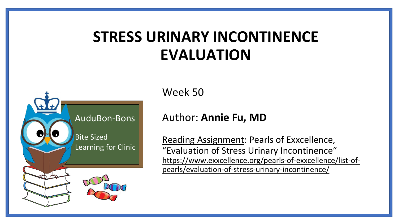## **STRESS URINARY INCONTINENCE EVALUATION**



Week 50

#### Author: **Annie Fu, MD**

Reading Assignment: Pearls of Exxcellence, "Evaluation of Stress Urinary Incontinence" [https://www.exxcellence.org/pearls-of-exxcellence/list-of](https://www.exxcellence.org/pearls-of-exxcellence/list-of-pearls/evaluation-of-stress-urinary-incontinence/)pearls/evaluation-of-stress-urinary-incontinence/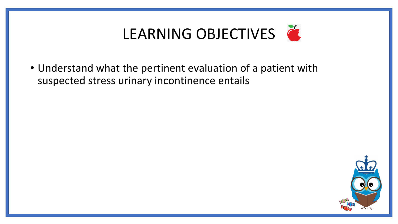

• Understand what the pertinent evaluation of a patient with suspected stress urinary incontinence entails

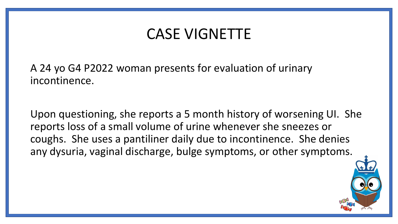#### CASE VIGNETTE

A 24 yo G4 P2022 woman presents for evaluation of urinary incontinence.

Upon questioning, she reports a 5 month history of worsening UI. She reports loss of a small volume of urine whenever she sneezes or coughs. She uses a pantiliner daily due to incontinence. She denies any dysuria, vaginal discharge, bulge symptoms, or other symptoms.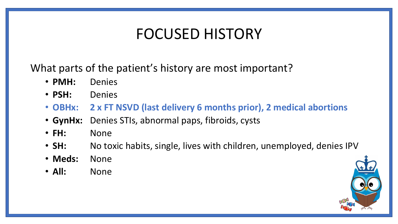## FOCUSED HISTORY

What parts of the patient's history are most important?

- **PMH:** Denies
- **PSH:** Denies
- **OBHx: 2 x FT NSVD (last delivery 6 months prior), 2 medical abortions**
- **GynHx:** Denies STIs, abnormal paps, fibroids, cysts
- **FH:** None
- **SH:** No toxic habits, single, lives with children, unemployed, denies IPV
- **Meds:** None
- **All:** None

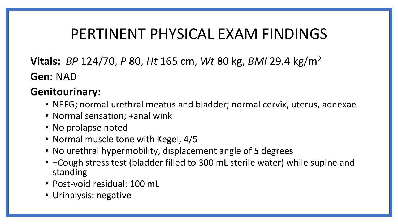#### PERTINENT PHYSICAL EXAM FINDINGS

**Vitals:** *BP* 124/70, *P* 80, *Ht* 165 cm, *Wt* 80 kg, *BMI* 29.4 kg/m<sup>2</sup> **Gen:** NAD

#### **Genitourinary:**

- NEFG; normal urethral meatus and bladder; normal cervix, uterus, adnexae
- Normal sensation; +anal wink
- No prolapse noted
- Normal muscle tone with Kegel, 4/5
- No urethral hypermobility, displacement angle of 5 degrees
- +Cough stress test (bladder filled to 300 mL sterile water) while supine and standing
- Post-void residual: 100 mL
- Urinalysis: negative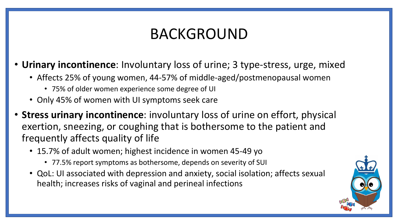## BACKGROUND

- **Urinary incontinence**: Involuntary loss of urine; 3 type-stress, urge, mixed
	- Affects 25% of young women, 44-57% of middle-aged/postmenopausal women
		- 75% of older women experience some degree of UI
	- Only 45% of women with UI symptoms seek care
- **Stress urinary incontinence**: involuntary loss of urine on effort, physical exertion, sneezing, or coughing that is bothersome to the patient and frequently affects quality of life
	- 15.7% of adult women; highest incidence in women 45-49 yo
		- 77.5% report symptoms as bothersome, depends on severity of SUI
	- QoL: UI associated with depression and anxiety, social isolation; affects sexual health; increases risks of vaginal and perineal infections

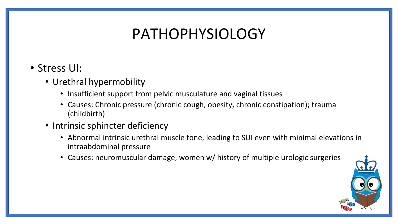## PATHOPHYSIOLOGY

- Stress UI:
	- Urethral hypermobility
		- Insufficient support from pelvic musculature and vaginal tissues
		- Causes: Chronic pressure (chronic cough, obesity, chronic constipation); trauma (childbirth)
	- Intrinsic sphincter deficiency
		- Abnormal intrinsic urethral muscle tone, leading to SUI even with minimal elevations in intraabdominal pressure
		- Causes: neuromuscular damage, women w/ history of multiple urologic surgeries

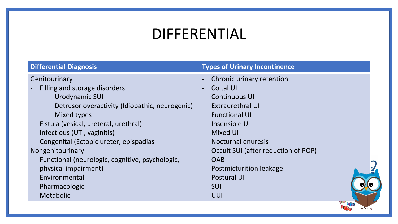## DIFFERENTIAL

| <b>Differential Diagnosis</b>                                    | <b>Types of Urinary Incontinence</b>                            |
|------------------------------------------------------------------|-----------------------------------------------------------------|
| Genitourinary                                                    | - Chronic urinary retention                                     |
| Filling and storage disorders                                    | Coital UI<br>$\blacksquare$                                     |
| Urodynamic SUI<br>$\blacksquare$                                 | <b>Continuous UI</b><br>$\blacksquare$                          |
| Detrusor overactivity (Idiopathic, neurogenic)<br>$\blacksquare$ | <b>Extraurethral UI</b><br>$\blacksquare$                       |
| - Mixed types                                                    | <b>Functional UI</b><br>$\blacksquare$                          |
| Fistula (vesical, ureteral, urethral)                            | Insensible UI<br>$\blacksquare$                                 |
| Infectious (UTI, vaginitis)                                      | Mixed UI<br>$-$                                                 |
| Congenital (Ectopic ureter, epispadias                           | Nocturnal enuresis<br>$\overline{\phantom{a}}$                  |
| Nongenitourinary                                                 | Occult SUI (after reduction of POP)<br>$\overline{\phantom{a}}$ |
| Functional (neurologic, cognitive, psychologic,                  | <b>OAB</b><br>$\blacksquare$                                    |
| physical impairment)                                             | <b>Postmicturition leakage</b><br>$\qquad \qquad -$             |
| Environmental                                                    | <b>Postural UI</b><br>$\overline{\phantom{a}}$                  |
| Pharmacologic                                                    | - SUI                                                           |
| Metabolic                                                        | - UUI                                                           |
|                                                                  | WM                                                              |

 $77$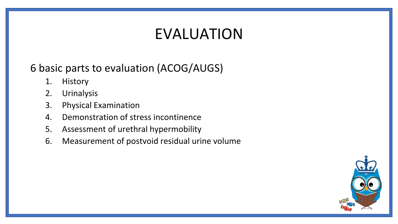## EVALUATION

#### 6 basic parts to evaluation (ACOG/AUGS)

- 1. History
- 2. Urinalysis
- 3. Physical Examination
- 4. Demonstration of stress incontinence
- 5. Assessment of urethral hypermobility
- 6. Measurement of postvoid residual urine volume

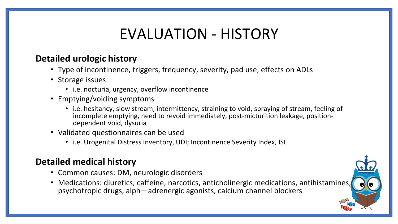## EVALUATION - HISTORY

#### **Detailed urologic history**

- Type of incontinence, triggers, frequency, severity, pad use, effects on ADLs
- Storage issues
	- i.e. nocturia, urgency, overflow incontinence
- Emptying/voiding symptoms
	- i.e. hesitancy, slow stream, intermittency, straining to void, spraying of stream, feeling of incomplete emptying, need to revoid immediately, post-micturition leakage, positiondependent void, dysuria
- Validated questionnaires can be used
	- i.e. Urogenital Distress Inventory, UDI; Incontinence Severity Index, ISI

#### **Detailed medical history**

- Common causes: DM, neurologic disorders
- Medications: diuretics, caffeine, narcotics, anticholinergic medications, antihistamines, psychotropic drugs, alph—adrenergic agonists, calcium channel blockers

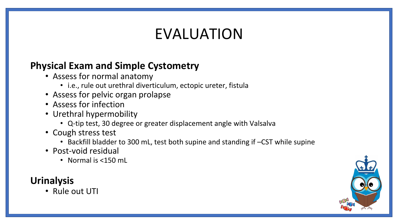## EVALUATION

#### **Physical Exam and Simple Cystometry**

- Assess for normal anatomy
	- i.e., rule out urethral diverticulum, ectopic ureter, fistula
- Assess for pelvic organ prolapse
- Assess for infection
- Urethral hypermobility
	- Q-tip test, 30 degree or greater displacement angle with Valsalva
- Cough stress test
	- Backfill bladder to 300 mL, test both supine and standing if –CST while supine
- Post-void residual
	- Normal is <150 mL

#### **Urinalysis**

• Rule out UTI

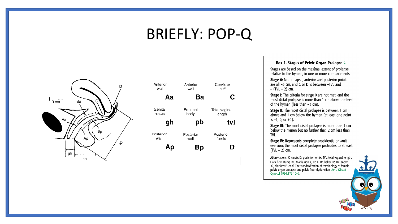#### BRIEFLY: POP-Q



| Anterior  | Anterior  | Cervix or     |
|-----------|-----------|---------------|
| wall      | wall      | cuff          |
| Aa        | Ba        | C             |
| Genital   | Perineal  | Total vaginal |
| hiatus    | body      | length        |
|           |           |               |
| gh        | pb        | tvl           |
| Posterior | Posterior | Posterior     |
| wall      | wall      | fornix        |

#### Box 1. Stages of Pelvic Organ Prolapse  $\Leftrightarrow$

Stages are based on the maximal extent of prolapse relative to the hymen, in one or more compartments.

Stage 0: No prolapse; anterior and posterior points<br>are all -3 cm, and C or D is between -TVL and  $-$  (TVL  $-$  2) cm.

Stage I: The criteria for stage 0 are not met, and the most distal prolapse is more than 1 cm above the level of the hymen (less than -1 cm).

Stage II: The most distal prolapse is between 1 cm above and 1 cm below the hymen (at least one point is  $-1$ , 0, or  $+1$ ).

Stage III: The most distal prolapse is more than 1 cm<br>below the hymen but no further than 2 cm less than TVL.

**Stage IV:** Represents complete procidentia or vault<br>eversion; the most distal prolapse protrudes to at least  $(TVL - 2)$  cm.

Abbreviations: C, cervix; D, posterior fornix; TVL, total vaginal length. Data from Bump RC, Mattiasson A, Bo K, Brubaker LP, DeLancey JO, Klarskov P, et al. The standardization of terminology of female pelvic organ prolapse and pelvic floor dysfunction. Am J Obstet Gynecol 1996;175:10-7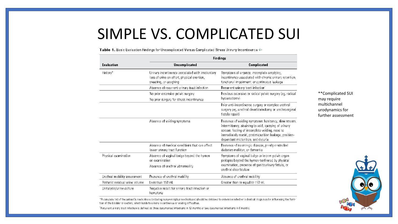#### SIMPLE VS. COMPLICATED SUI

Table 1. Basic Evaluation Findings for Uncomplicated Versus Complicated Stress Urinary Incontinence ⇔

|                                                                               | <b>Findings</b>                                                                                                          |                                                                                                                                                                                                                                                                   |                                                       |
|-------------------------------------------------------------------------------|--------------------------------------------------------------------------------------------------------------------------|-------------------------------------------------------------------------------------------------------------------------------------------------------------------------------------------------------------------------------------------------------------------|-------------------------------------------------------|
| <b>Evaluation</b>                                                             | Uncomplicated                                                                                                            | Complicated                                                                                                                                                                                                                                                       |                                                       |
| History*                                                                      | Urinary incontinence associated with involuntary<br>loss of urine on effort, physical exertion,<br>sneezing, or coughing | Symptoms of urgency, incomplete emptying,<br>incontinence associated with chronic urinary retention,<br>functional impairment, or continuous leakage                                                                                                              |                                                       |
|                                                                               | Absence of recurrent urinary tract infection                                                                             | Recurrent urinary tract infection                                                                                                                                                                                                                                 |                                                       |
|                                                                               | No prior extensive pelvic surgery<br>No prior surgery for stress incontinence                                            | Previous extensive or radical pelvic surgery (eg, radical<br>hysterectomy.                                                                                                                                                                                        | **Complicated SUI<br>may require                      |
|                                                                               |                                                                                                                          | Prior anti-incontinence surgery or complex urethral<br>surgery (eg, urethral diverticulectomy or urethrovaginal<br>fistula repair)                                                                                                                                | multichannel<br>urodynamics for<br>further assessment |
|                                                                               | Absence of voiding symptoms                                                                                              | Presence of voiding symptoms: hesitancy, slow stream,<br>intermittency, straining to void, spraying of urinary<br>stream, feeling of incomplete voiding, need to<br>immediately revoid, postmicturition leakage, position-<br>dependent micturition, and dysurial |                                                       |
| Absence of medical conditions that can affect<br>lower urinary tract function | Presence of neurologic disease, poorly controlled<br>diabetes mellitus, or dementia                                      |                                                                                                                                                                                                                                                                   |                                                       |
| Physical examination                                                          | Absence of vaginal bulge beyond the hymen<br>on examination<br>Absence of urethral abnormality                           | Symptoms of vaginal bulge or known pelvic organ<br>prolapse beyond the hymen confirmed by physical<br>examination, presence of genitourinary fistula, or<br>urethral diverticulum                                                                                 |                                                       |
| Urethral mobility assessment                                                  | Presence of urethral mobility                                                                                            | Absence of urethral mobility                                                                                                                                                                                                                                      |                                                       |
| Postvoid residual urine volume                                                | Less than 150 mL                                                                                                         | Greater than or equal to 150 mL                                                                                                                                                                                                                                   |                                                       |
| Urinalysis/urine culture                                                      | Negative result for urinary tract infection or<br>hematuria                                                              |                                                                                                                                                                                                                                                                   |                                                       |

\*A complete list of the patient's medications (including nonprescription medications) should be obtained to determine whether individual drugs may be influencing the function of the bladder or urethra, which leads to urinary incontinence or voiding difficulties.

<sup>1</sup>Recurrent urinary tract infection is defined as three documented infections in 12 months or two documented infections in 6 months.

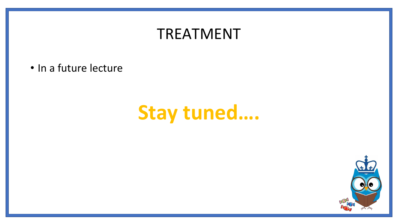#### TREATMENT

• In a future lecture

# **Stay tuned….**

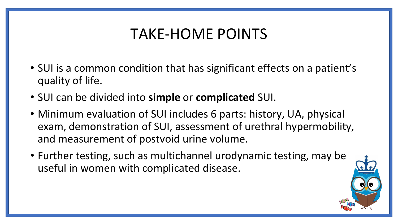#### TAKE-HOME POINTS

- SUI is a common condition that has significant effects on a patient's quality of life.
- SUI can be divided into **simple** or **complicated** SUI.
- Minimum evaluation of SUI includes 6 parts: history, UA, physical exam, demonstration of SUI, assessment of urethral hypermobility, and measurement of postvoid urine volume.
- Further testing, such as multichannel urodynamic testing, may be useful in women with complicated disease.

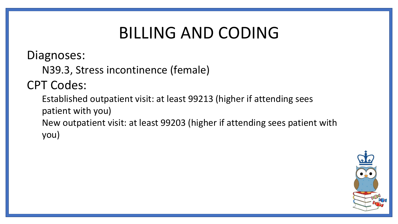## BILLING AND CODING

Diagnoses:

N39.3, Stress incontinence (female)

#### CPT Codes:

Established outpatient visit: at least 99213 (higher if attending sees patient with you) New outpatient visit: at least 99203 (higher if attending sees patient with you)